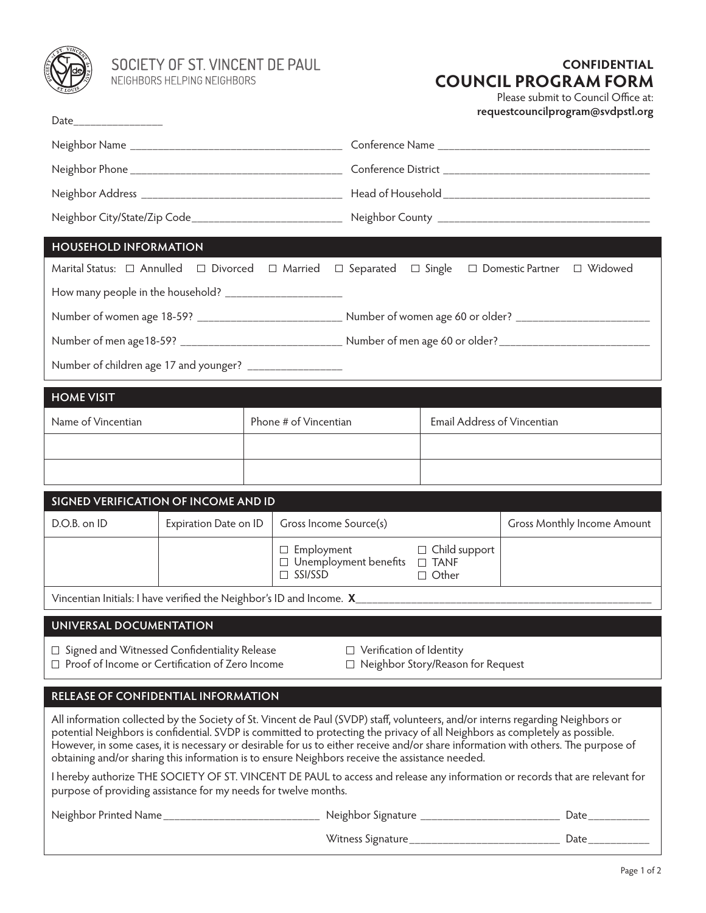

SOCIETY OF ST. VINCENT DE PAUL<br>NEIGHBORS HELPING NEIGHBORS

## **CONFIDENTIAL COUNCIL PROGRAM FORM**

Please submit to Council Office at: **requestcouncilprogram@svdpstl.org**

| Date_____________________                                                                                                                                                                       |  |  |                                                            |                                                                                                                      |                                          | requestcouncilprogram@svupsu.org                                                                                                                                                                                                                                                                                                                                                                      |  |
|-------------------------------------------------------------------------------------------------------------------------------------------------------------------------------------------------|--|--|------------------------------------------------------------|----------------------------------------------------------------------------------------------------------------------|------------------------------------------|-------------------------------------------------------------------------------------------------------------------------------------------------------------------------------------------------------------------------------------------------------------------------------------------------------------------------------------------------------------------------------------------------------|--|
|                                                                                                                                                                                                 |  |  |                                                            |                                                                                                                      |                                          |                                                                                                                                                                                                                                                                                                                                                                                                       |  |
|                                                                                                                                                                                                 |  |  |                                                            |                                                                                                                      |                                          |                                                                                                                                                                                                                                                                                                                                                                                                       |  |
|                                                                                                                                                                                                 |  |  |                                                            |                                                                                                                      |                                          |                                                                                                                                                                                                                                                                                                                                                                                                       |  |
|                                                                                                                                                                                                 |  |  |                                                            |                                                                                                                      |                                          |                                                                                                                                                                                                                                                                                                                                                                                                       |  |
| <b>HOUSEHOLD INFORMATION</b>                                                                                                                                                                    |  |  |                                                            |                                                                                                                      |                                          |                                                                                                                                                                                                                                                                                                                                                                                                       |  |
| Marital Status: $\Box$ Annulled $\Box$ Divorced $\Box$ Married $\Box$ Separated                                                                                                                 |  |  |                                                            |                                                                                                                      | $\Box$ Single                            | □ Domestic Partner □ Widowed                                                                                                                                                                                                                                                                                                                                                                          |  |
| How many people in the household? _________________________                                                                                                                                     |  |  |                                                            |                                                                                                                      |                                          |                                                                                                                                                                                                                                                                                                                                                                                                       |  |
|                                                                                                                                                                                                 |  |  |                                                            | Number of women age 18-59? ____________________________ Number of women age 60 or older? _____________________       |                                          |                                                                                                                                                                                                                                                                                                                                                                                                       |  |
|                                                                                                                                                                                                 |  |  |                                                            | Number of men age18-59? ___________________________________ Number of men age 60 or older? _________________________ |                                          |                                                                                                                                                                                                                                                                                                                                                                                                       |  |
| Number of children age 17 and younger? ___________________                                                                                                                                      |  |  |                                                            |                                                                                                                      |                                          |                                                                                                                                                                                                                                                                                                                                                                                                       |  |
| <b>HOME VISIT</b>                                                                                                                                                                               |  |  |                                                            |                                                                                                                      |                                          |                                                                                                                                                                                                                                                                                                                                                                                                       |  |
| Name of Vincentian                                                                                                                                                                              |  |  | Phone # of Vincentian                                      |                                                                                                                      |                                          | Email Address of Vincentian                                                                                                                                                                                                                                                                                                                                                                           |  |
|                                                                                                                                                                                                 |  |  |                                                            |                                                                                                                      |                                          |                                                                                                                                                                                                                                                                                                                                                                                                       |  |
|                                                                                                                                                                                                 |  |  |                                                            |                                                                                                                      |                                          |                                                                                                                                                                                                                                                                                                                                                                                                       |  |
|                                                                                                                                                                                                 |  |  |                                                            |                                                                                                                      |                                          |                                                                                                                                                                                                                                                                                                                                                                                                       |  |
| SIGNED VERIFICATION OF INCOME AND ID<br>D.O.B. on ID<br>Expiration Date on ID                                                                                                                   |  |  | Gross Income Source(s)                                     |                                                                                                                      |                                          | <b>Gross Monthly Income Amount</b>                                                                                                                                                                                                                                                                                                                                                                    |  |
|                                                                                                                                                                                                 |  |  | $\Box$ Employment<br>$\Box$ Child support                  |                                                                                                                      |                                          |                                                                                                                                                                                                                                                                                                                                                                                                       |  |
|                                                                                                                                                                                                 |  |  | $\Box$ Unemployment benefits $\Box$ TANF<br>$\Box$ SSI/SSD |                                                                                                                      | $\Box$ Other                             |                                                                                                                                                                                                                                                                                                                                                                                                       |  |
| Vincentian Initials: I have verified the Neighbor's ID and Income. X________________________________                                                                                            |  |  |                                                            |                                                                                                                      |                                          |                                                                                                                                                                                                                                                                                                                                                                                                       |  |
| UNIVERSAL DOCUMENTATION                                                                                                                                                                         |  |  |                                                            |                                                                                                                      |                                          |                                                                                                                                                                                                                                                                                                                                                                                                       |  |
| $\Box$ Signed and Witnessed Confidentiality Release<br>$\Box$ Proof of Income or Certification of Zero Income                                                                                   |  |  |                                                            | □ Verification of Identity                                                                                           | $\Box$ Neighbor Story/Reason for Request |                                                                                                                                                                                                                                                                                                                                                                                                       |  |
| RELEASE OF CONFIDENTIAL INFORMATION                                                                                                                                                             |  |  |                                                            |                                                                                                                      |                                          |                                                                                                                                                                                                                                                                                                                                                                                                       |  |
| obtaining and/or sharing this information is to ensure Neighbors receive the assistance needed.                                                                                                 |  |  |                                                            |                                                                                                                      |                                          | All information collected by the Society of St. Vincent de Paul (SVDP) staff, volunteers, and/or interns regarding Neighbors or<br>potential Neighbors is confidential. SVDP is committed to protecting the privacy of all Neighbors as completely as possible.<br>However, in some cases, it is necessary or desirable for us to either receive and/or share information with others. The purpose of |  |
| I hereby authorize THE SOCIETY OF ST. VINCENT DE PAUL to access and release any information or records that are relevant for<br>purpose of providing assistance for my needs for twelve months. |  |  |                                                            |                                                                                                                      |                                          |                                                                                                                                                                                                                                                                                                                                                                                                       |  |
| Neighbor Printed Name _________________________________ Neighbor Signature ________________________                                                                                             |  |  |                                                            |                                                                                                                      |                                          | Date____________                                                                                                                                                                                                                                                                                                                                                                                      |  |

Witness Signature\_\_\_\_\_\_\_\_\_\_\_\_\_\_\_\_\_\_\_\_\_\_\_\_\_\_\_ Date\_\_\_\_\_\_\_\_\_\_\_